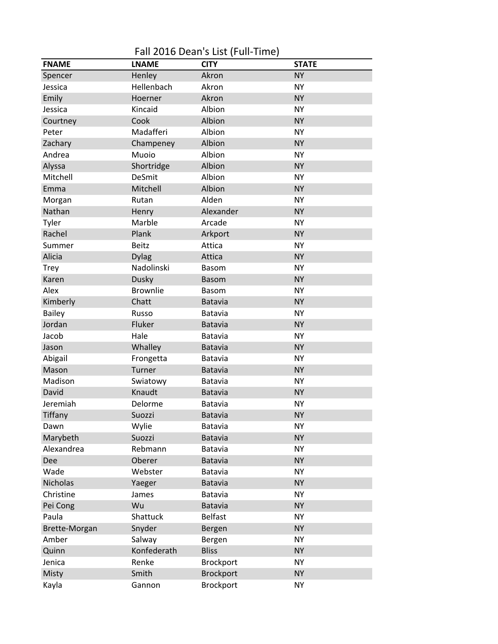Fall 2016 Dean's List (Full-Time)

| <b>FNAME</b>  | <b>LNAME</b>  | <b>CITY</b>      | <b>STATE</b> |
|---------------|---------------|------------------|--------------|
| Spencer       | Henley        | Akron            | <b>NY</b>    |
| Jessica       | Hellenbach    | Akron            | <b>NY</b>    |
| Emily         | Hoerner       | Akron            | <b>NY</b>    |
| Jessica       | Kincaid       | Albion           | <b>NY</b>    |
| Courtney      | Cook          | Albion           | <b>NY</b>    |
| Peter         | Madafferi     | Albion           | <b>NY</b>    |
| Zachary       | Champeney     | Albion           | <b>NY</b>    |
| Andrea        | Muoio         | Albion           | <b>NY</b>    |
| Alyssa        | Shortridge    | Albion           | <b>NY</b>    |
| Mitchell      | <b>DeSmit</b> | Albion           | <b>NY</b>    |
| Emma          | Mitchell      | Albion           | <b>NY</b>    |
| Morgan        | Rutan         | Alden            | <b>NY</b>    |
| Nathan        | Henry         | Alexander        | <b>NY</b>    |
| Tyler         | Marble        | Arcade           | <b>NY</b>    |
| Rachel        | Plank         | Arkport          | <b>NY</b>    |
| Summer        | <b>Beitz</b>  | Attica           | <b>NY</b>    |
| Alicia        | <b>Dylag</b>  | Attica           | <b>NY</b>    |
| <b>Trey</b>   | Nadolinski    | <b>Basom</b>     | <b>NY</b>    |
| Karen         | <b>Dusky</b>  | <b>Basom</b>     | <b>NY</b>    |
| Alex          | Brownlie      | <b>Basom</b>     | <b>NY</b>    |
| Kimberly      | Chatt         | <b>Batavia</b>   | <b>NY</b>    |
| <b>Bailey</b> | Russo         | Batavia          | <b>NY</b>    |
| Jordan        | Fluker        | Batavia          | <b>NY</b>    |
| Jacob         | Hale          | Batavia          | <b>NY</b>    |
| Jason         | Whalley       | Batavia          | <b>NY</b>    |
| Abigail       | Frongetta     | Batavia          | <b>NY</b>    |
| Mason         | Turner        | <b>Batavia</b>   | <b>NY</b>    |
| Madison       | Swiatowy      | Batavia          | <b>NY</b>    |
| David         | Knaudt        | Batavia          | <b>NY</b>    |
| Jeremiah      | Delorme       | Batavia          | <b>NY</b>    |
| Tiffany       | Suozzi        | <b>Batavia</b>   | <b>NY</b>    |
| Dawn          | Wylie         | Batavia          | <b>NY</b>    |
| Marybeth      | Suozzi        | <b>Batavia</b>   | <b>NY</b>    |
| Alexandrea    | Rebmann       | Batavia          | <b>NY</b>    |
| Dee           | Oberer        | <b>Batavia</b>   | <b>NY</b>    |
| Wade          | Webster       | Batavia          | <b>NY</b>    |
| Nicholas      | Yaeger        | <b>Batavia</b>   | <b>NY</b>    |
| Christine     | James         | Batavia          | <b>NY</b>    |
| Pei Cong      | Wu            | <b>Batavia</b>   | <b>NY</b>    |
| Paula         | Shattuck      | <b>Belfast</b>   | <b>NY</b>    |
| Brette-Morgan | Snyder        | Bergen           | <b>NY</b>    |
| Amber         | Salway        | Bergen           | <b>NY</b>    |
| Quinn         | Konfederath   | <b>Bliss</b>     | <b>NY</b>    |
| Jenica        | Renke         | Brockport        | <b>NY</b>    |
| Misty         | Smith         | <b>Brockport</b> | <b>NY</b>    |
| Kayla         | Gannon        | Brockport        | <b>NY</b>    |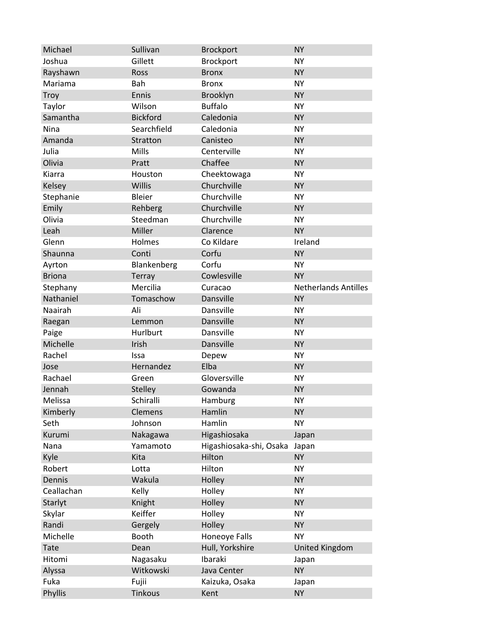| Michael       | Sullivan        | <b>Brockport</b>        | <b>NY</b>                   |
|---------------|-----------------|-------------------------|-----------------------------|
| Joshua        | Gillett         | Brockport               | <b>NY</b>                   |
| Rayshawn      | Ross            | <b>Bronx</b>            | <b>NY</b>                   |
| Mariama       | Bah             | <b>Bronx</b>            | <b>NY</b>                   |
| <b>Troy</b>   | Ennis           | Brooklyn                | <b>NY</b>                   |
| Taylor        | Wilson          | <b>Buffalo</b>          | <b>NY</b>                   |
| Samantha      | <b>Bickford</b> | Caledonia               | <b>NY</b>                   |
| Nina          | Searchfield     | Caledonia               | <b>NY</b>                   |
| Amanda        | Stratton        | Canisteo                | <b>NY</b>                   |
| Julia         | Mills           | Centerville             | <b>NY</b>                   |
| Olivia        | Pratt           | Chaffee                 | <b>NY</b>                   |
| Kiarra        | Houston         | Cheektowaga             | <b>NY</b>                   |
| Kelsey        | Willis          | Churchville             | <b>NY</b>                   |
| Stephanie     | Bleier          | Churchville             | <b>NY</b>                   |
| Emily         | Rehberg         | Churchville             | <b>NY</b>                   |
| Olivia        | Steedman        | Churchville             | <b>NY</b>                   |
| Leah          | Miller          | Clarence                | <b>NY</b>                   |
| Glenn         | Holmes          | Co Kildare              | Ireland                     |
| Shaunna       | Conti           | Corfu                   | <b>NY</b>                   |
| Ayrton        | Blankenberg     | Corfu                   | <b>NY</b>                   |
| <b>Briona</b> | Terray          | Cowlesville             | <b>NY</b>                   |
| Stephany      | Mercilia        | Curacao                 | <b>Netherlands Antilles</b> |
| Nathaniel     | Tomaschow       | Dansville               | <b>NY</b>                   |
| Naairah       | Ali             | Dansville               | <b>NY</b>                   |
| Raegan        | Lemmon          | Dansville               | <b>NY</b>                   |
| Paige         | Hurlburt        | Dansville               | <b>NY</b>                   |
| Michelle      | Irish           | Dansville               | <b>NY</b>                   |
| Rachel        | Issa            | Depew                   | <b>NY</b>                   |
| Jose          | Hernandez       | Elba                    | <b>NY</b>                   |
| Rachael       | Green           | Gloversville            | <b>NY</b>                   |
| Jennah        | Stelley         | Gowanda                 | <b>NY</b>                   |
| Melissa       | Schiralli       | Hamburg                 | <b>NY</b>                   |
| Kimberly      | Clemens         | Hamlin                  | <b>NY</b>                   |
| Seth          | Johnson         | Hamlin                  | NY                          |
| Kurumi        | Nakagawa        | Higashiosaka            | Japan                       |
| Nana          | Yamamoto        | Higashiosaka-shi, Osaka | Japan                       |
| Kyle          | Kita            | Hilton                  | <b>NY</b>                   |
| Robert        | Lotta           | Hilton                  | <b>NY</b>                   |
| Dennis        | Wakula          | Holley                  | <b>NY</b>                   |
| Ceallachan    | Kelly           | Holley                  | <b>NY</b>                   |
| Starlyt       | Knight          | Holley                  | <b>NY</b>                   |
| Skylar        | Keiffer         | Holley                  | <b>NY</b>                   |
| Randi         | Gergely         | Holley                  | <b>NY</b>                   |
| Michelle      | Booth           | Honeoye Falls           | <b>NY</b>                   |
| Tate          | Dean            | Hull, Yorkshire         | <b>United Kingdom</b>       |
| Hitomi        | Nagasaku        | Ibaraki                 | Japan                       |
| Alyssa        | Witkowski       | Java Center             | <b>NY</b>                   |
| Fuka          | Fujii           | Kaizuka, Osaka          | Japan                       |
| Phyllis       | Tinkous         | Kent                    | <b>NY</b>                   |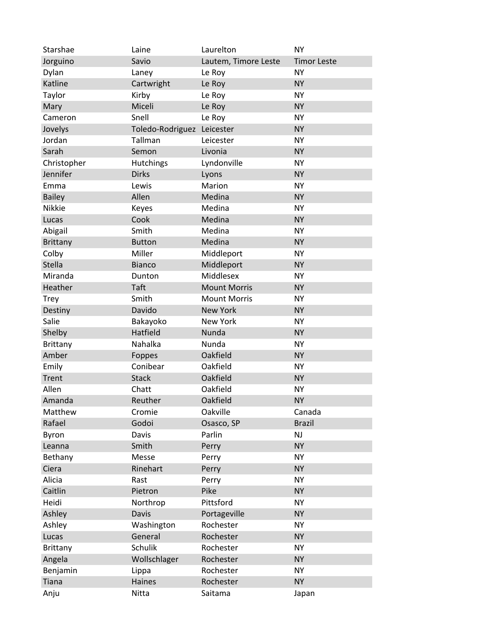| Starshae        | Laine            | Laurelton            | <b>NY</b>          |
|-----------------|------------------|----------------------|--------------------|
| Jorguino        | Savio            | Lautem, Timore Leste | <b>Timor Leste</b> |
| Dylan           | Laney            | Le Roy               | <b>NY</b>          |
| Katline         | Cartwright       | Le Roy               | <b>NY</b>          |
| Taylor          | Kirby            | Le Roy               | <b>NY</b>          |
| Mary            | Miceli           | Le Roy               | <b>NY</b>          |
| Cameron         | Snell            | Le Roy               | <b>NY</b>          |
| Jovelys         | Toledo-Rodriguez | Leicester            | <b>NY</b>          |
| Jordan          | Tallman          | Leicester            | <b>NY</b>          |
| Sarah           | Semon            | Livonia              | <b>NY</b>          |
| Christopher     | <b>Hutchings</b> | Lyndonville          | <b>NY</b>          |
| Jennifer        | <b>Dirks</b>     | Lyons                | <b>NY</b>          |
| Emma            | Lewis            | Marion               | <b>NY</b>          |
| <b>Bailey</b>   | Allen            | Medina               | <b>NY</b>          |
| Nikkie          | Keyes            | Medina               | <b>NY</b>          |
| Lucas           | Cook             | Medina               | <b>NY</b>          |
| Abigail         | Smith            | Medina               | <b>NY</b>          |
| <b>Brittany</b> | <b>Button</b>    | Medina               | <b>NY</b>          |
| Colby           | Miller           | Middleport           | <b>NY</b>          |
| <b>Stella</b>   | <b>Bianco</b>    | Middleport           | <b>NY</b>          |
| Miranda         | Dunton           | Middlesex            | <b>NY</b>          |
| Heather         | Taft             | <b>Mount Morris</b>  | <b>NY</b>          |
| <b>Trey</b>     | Smith            | <b>Mount Morris</b>  | <b>NY</b>          |
| Destiny         | Davido           | <b>New York</b>      | <b>NY</b>          |
| Salie           | Bakayoko         | <b>New York</b>      | <b>NY</b>          |
| Shelby          | Hatfield         | Nunda                | <b>NY</b>          |
| Brittany        | Nahalka          | Nunda                | <b>NY</b>          |
| Amber           | Foppes           | Oakfield             | <b>NY</b>          |
| Emily           | Conibear         | Oakfield             | <b>NY</b>          |
| Trent           | <b>Stack</b>     | Oakfield             | <b>NY</b>          |
| Allen           | Chatt            | Oakfield             | <b>NY</b>          |
| Amanda          | Reuther          | Oakfield             | <b>NY</b>          |
| Matthew         | Cromie           | Oakville             | Canada             |
| Rafael          | Godoi            | Osasco, SP           | <b>Brazil</b>      |
| Byron           | <b>Davis</b>     | Parlin               | NJ                 |
| Leanna          | Smith            | Perry                | <b>NY</b>          |
| Bethany         | Messe            | Perry                | <b>NY</b>          |
| Ciera           | Rinehart         | Perry                | <b>NY</b>          |
| Alicia          | Rast             | Perry                | <b>NY</b>          |
| Caitlin         | Pietron          | Pike                 | <b>NY</b>          |
| Heidi           | Northrop         | Pittsford            | <b>NY</b>          |
| Ashley          | <b>Davis</b>     | Portageville         | <b>NY</b>          |
| Ashley          | Washington       | Rochester            | <b>NY</b>          |
| Lucas           | General          | Rochester            | <b>NY</b>          |
| <b>Brittany</b> | <b>Schulik</b>   | Rochester            | <b>NY</b>          |
| Angela          | Wollschlager     | Rochester            | <b>NY</b>          |
| Benjamin        | Lippa            | Rochester            | <b>NY</b>          |
| <b>Tiana</b>    | Haines           | Rochester            | <b>NY</b>          |
| Anju            | Nitta            | Saitama              | Japan              |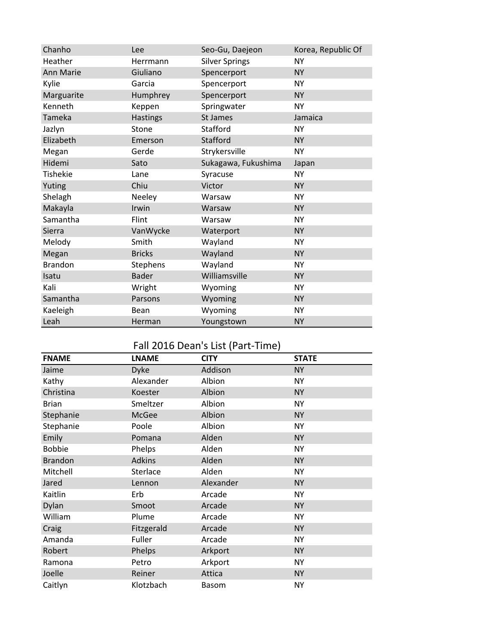| Chanho          | Lee             | Seo-Gu, Daejeon       | Korea, Republic Of |
|-----------------|-----------------|-----------------------|--------------------|
| Heather         | Herrmann        | <b>Silver Springs</b> | <b>NY</b>          |
| Ann Marie       | Giuliano        | Spencerport           | <b>NY</b>          |
| Kylie           | Garcia          | Spencerport           | <b>NY</b>          |
| Marguarite      | Humphrey        | Spencerport           | <b>NY</b>          |
| Kenneth         | Keppen          | Springwater           | <b>NY</b>          |
| Tameka          | <b>Hastings</b> | St James              | Jamaica            |
| Jazlyn          | Stone           | Stafford              | <b>NY</b>          |
| Elizabeth       | Emerson         | Stafford              | <b>NY</b>          |
| Megan           | Gerde           | Strykersville         | <b>NY</b>          |
| Hidemi          | Sato            | Sukagawa, Fukushima   | Japan              |
| <b>Tishekie</b> | Lane            | Syracuse              | <b>NY</b>          |
| Yuting          | Chiu            | Victor                | <b>NY</b>          |
| Shelagh         | Neeley          | Warsaw                | <b>NY</b>          |
| Makayla         | Irwin           | Warsaw                | <b>NY</b>          |
| Samantha        | Flint           | Warsaw                | <b>NY</b>          |
| Sierra          | VanWycke        | Waterport             | <b>NY</b>          |
| Melody          | Smith           | Wayland               | <b>NY</b>          |
| Megan           | <b>Bricks</b>   | Wayland               | <b>NY</b>          |
| <b>Brandon</b>  | Stephens        | Wayland               | <b>NY</b>          |
| Isatu           | <b>Bader</b>    | Williamsville         | <b>NY</b>          |
| Kali            | Wright          | Wyoming               | <b>NY</b>          |
| Samantha        | Parsons         | Wyoming               | <b>NY</b>          |
| Kaeleigh        | Bean            | Wyoming               | <b>NY</b>          |
| Leah            | Herman          | Youngstown            | <b>NY</b>          |

## Fall 2016 Dean's List (Part-Time)

| <b>FNAME</b>   | <b>LNAME</b>  | <b>CITY</b>  | <b>STATE</b> |
|----------------|---------------|--------------|--------------|
| Jaime          | <b>Dyke</b>   | Addison      | <b>NY</b>    |
| Kathy          | Alexander     | Albion       | <b>NY</b>    |
| Christina      | Koester       | Albion       | <b>NY</b>    |
| <b>Brian</b>   | Smeltzer      | Albion       | <b>NY</b>    |
| Stephanie      | McGee         | Albion       | <b>NY</b>    |
| Stephanie      | Poole         | Albion       | <b>NY</b>    |
| Emily          | Pomana        | Alden        | <b>NY</b>    |
| <b>Bobbie</b>  | Phelps        | Alden        | <b>NY</b>    |
| <b>Brandon</b> | <b>Adkins</b> | Alden        | <b>NY</b>    |
| Mitchell       | Sterlace      | Alden        | <b>NY</b>    |
| Jared          | Lennon        | Alexander    | <b>NY</b>    |
| Kaitlin        | Erb           | Arcade       | <b>NY</b>    |
| Dylan          | Smoot         | Arcade       | <b>NY</b>    |
| William        | Plume         | Arcade       | <b>NY</b>    |
| Craig          | Fitzgerald    | Arcade       | <b>NY</b>    |
| Amanda         | Fuller        | Arcade       | <b>NY</b>    |
| Robert         | Phelps        | Arkport      | <b>NY</b>    |
| Ramona         | Petro         | Arkport      | <b>NY</b>    |
| Joelle         | Reiner        | Attica       | <b>NY</b>    |
| Caitlyn        | Klotzbach     | <b>Basom</b> | <b>NY</b>    |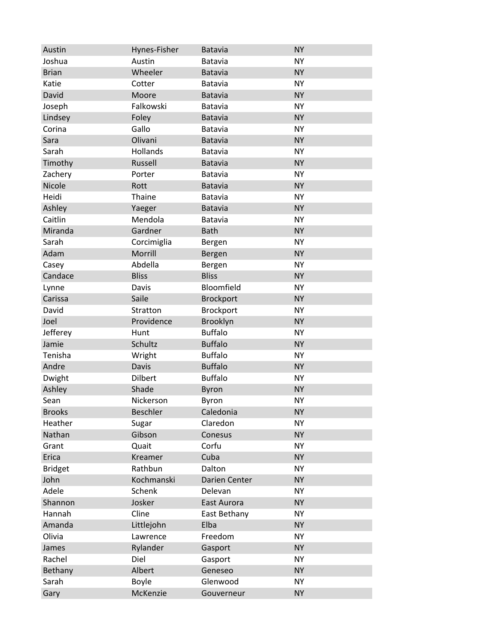| Austin         | Hynes-Fisher    | <b>Batavia</b>   | <b>NY</b> |
|----------------|-----------------|------------------|-----------|
| Joshua         | Austin          | Batavia          | <b>NY</b> |
| <b>Brian</b>   | Wheeler         | <b>Batavia</b>   | <b>NY</b> |
| Katie          | Cotter          | Batavia          | <b>NY</b> |
| David          | Moore           | <b>Batavia</b>   | <b>NY</b> |
| Joseph         | Falkowski       | Batavia          | <b>NY</b> |
| Lindsey        | Foley           | <b>Batavia</b>   | <b>NY</b> |
| Corina         | Gallo           | Batavia          | <b>NY</b> |
| Sara           | Olivani         | <b>Batavia</b>   | <b>NY</b> |
| Sarah          | Hollands        | Batavia          | <b>NY</b> |
| Timothy        | Russell         | <b>Batavia</b>   | <b>NY</b> |
| Zachery        | Porter          | Batavia          | <b>NY</b> |
| Nicole         | Rott            | <b>Batavia</b>   | <b>NY</b> |
| Heidi          | Thaine          | Batavia          | <b>NY</b> |
| Ashley         | Yaeger          | <b>Batavia</b>   | <b>NY</b> |
| Caitlin        | Mendola         | Batavia          | <b>NY</b> |
| Miranda        | Gardner         | <b>Bath</b>      | <b>NY</b> |
| Sarah          | Corcimiglia     | Bergen           | <b>NY</b> |
| Adam           | Morrill         | Bergen           | <b>NY</b> |
| Casey          | Abdella         | Bergen           | <b>NY</b> |
| Candace        | <b>Bliss</b>    | <b>Bliss</b>     | <b>NY</b> |
| Lynne          | Davis           | Bloomfield       | <b>NY</b> |
| Carissa        | Saile           | <b>Brockport</b> | <b>NY</b> |
| David          | Stratton        | Brockport        | <b>NY</b> |
| Joel           | Providence      | Brooklyn         | <b>NY</b> |
| Jefferey       | Hunt            | <b>Buffalo</b>   | <b>NY</b> |
| Jamie          | Schultz         | <b>Buffalo</b>   | <b>NY</b> |
| Tenisha        | Wright          | <b>Buffalo</b>   | <b>NY</b> |
| Andre          | <b>Davis</b>    | <b>Buffalo</b>   | <b>NY</b> |
| Dwight         | <b>Dilbert</b>  | <b>Buffalo</b>   | <b>NY</b> |
| Ashley         | Shade           | <b>Byron</b>     | <b>NY</b> |
| Sean           | Nickerson       | Byron            | <b>NY</b> |
| <b>Brooks</b>  | <b>Beschler</b> | Caledonia        | <b>NY</b> |
| Heather        | Sugar           | Claredon         | <b>NY</b> |
| Nathan         | Gibson          | Conesus          | <b>NY</b> |
| Grant          | Quait           | Corfu            | <b>NY</b> |
| Erica          | Kreamer         | Cuba             | <b>NY</b> |
| <b>Bridget</b> | Rathbun         | Dalton           | <b>NY</b> |
| John           | Kochmanski      | Darien Center    | <b>NY</b> |
| Adele          | Schenk          | Delevan          | <b>NY</b> |
| Shannon        | Josker          | East Aurora      | <b>NY</b> |
| Hannah         | Cline           | East Bethany     | <b>NY</b> |
| Amanda         | Littlejohn      | Elba             | <b>NY</b> |
| Olivia         | Lawrence        | Freedom          | <b>NY</b> |
| James          | Rylander        | Gasport          | <b>NY</b> |
| Rachel         | Diel            | Gasport          | <b>NY</b> |
| Bethany        | Albert          | Geneseo          | <b>NY</b> |
| Sarah          | Boyle           | Glenwood         | <b>NY</b> |
| Gary           | McKenzie        | Gouverneur       | <b>NY</b> |
|                |                 |                  |           |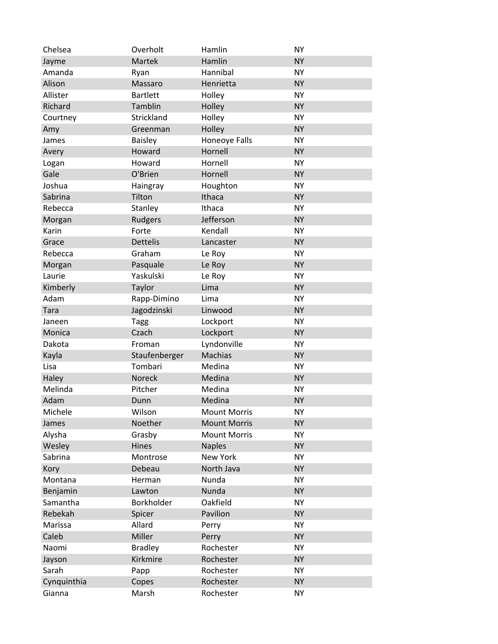| Chelsea     | Overholt        | Hamlin              | <b>NY</b> |
|-------------|-----------------|---------------------|-----------|
| Jayme       | Martek          | Hamlin              | <b>NY</b> |
| Amanda      | Ryan            | Hannibal            | <b>NY</b> |
| Alison      | Massaro         | Henrietta           | <b>NY</b> |
| Allister    | <b>Bartlett</b> | Holley              | <b>NY</b> |
| Richard     | Tamblin         | Holley              | <b>NY</b> |
| Courtney    | Strickland      | Holley              | <b>NY</b> |
| Amy         | Greenman        | Holley              | <b>NY</b> |
| James       | <b>Baisley</b>  | Honeoye Falls       | <b>NY</b> |
| Avery       | Howard          | Hornell             | <b>NY</b> |
| Logan       | Howard          | Hornell             | <b>NY</b> |
| Gale        | O'Brien         | Hornell             | <b>NY</b> |
| Joshua      | Haingray        | Houghton            | <b>NY</b> |
| Sabrina     | Tilton          | Ithaca              | <b>NY</b> |
| Rebecca     | Stanley         | Ithaca              | <b>NY</b> |
| Morgan      | Rudgers         | Jefferson           | <b>NY</b> |
| Karin       | Forte           | Kendall             | <b>NY</b> |
| Grace       | <b>Dettelis</b> | Lancaster           | <b>NY</b> |
| Rebecca     | Graham          | Le Roy              | <b>NY</b> |
| Morgan      | Pasquale        | Le Roy              | <b>NY</b> |
| Laurie      | Yaskulski       | Le Roy              | <b>NY</b> |
| Kimberly    | Taylor          | Lima                | <b>NY</b> |
| Adam        | Rapp-Dimino     | Lima                | <b>NY</b> |
| <b>Tara</b> | Jagodzinski     | Linwood             | <b>NY</b> |
| Janeen      | Tagg            | Lockport            | <b>NY</b> |
| Monica      | Czach           | Lockport            | <b>NY</b> |
| Dakota      | Froman          | Lyndonville         | <b>NY</b> |
| Kayla       | Staufenberger   | <b>Machias</b>      | <b>NY</b> |
| Lisa        | Tombari         | Medina              | <b>NY</b> |
| Haley       | Noreck          | Medina              | <b>NY</b> |
| Melinda     | Pitcher         | Medina              | <b>NY</b> |
| Adam        | Dunn            | Medina              | <b>NY</b> |
| Michele     | Wilson          | <b>Mount Morris</b> | <b>NY</b> |
| James       | Noether         | <b>Mount Morris</b> | <b>NY</b> |
| Alysha      | Grasby          | <b>Mount Morris</b> | <b>NY</b> |
| Wesley      | Hines           | <b>Naples</b>       | <b>NY</b> |
| Sabrina     | Montrose        | New York            | <b>NY</b> |
| Kory        | Debeau          | North Java          | <b>NY</b> |
| Montana     | Herman          | Nunda               | <b>NY</b> |
| Benjamin    | Lawton          | Nunda               | <b>NY</b> |
| Samantha    | Borkholder      | Oakfield            | <b>NY</b> |
| Rebekah     | Spicer          | Pavilion            | <b>NY</b> |
| Marissa     | Allard          | Perry               | <b>NY</b> |
| Caleb       | Miller          | Perry               | <b>NY</b> |
| Naomi       | <b>Bradley</b>  | Rochester           | <b>NY</b> |
| Jayson      | Kirkmire        | Rochester           | <b>NY</b> |
| Sarah       | Papp            | Rochester           | <b>NY</b> |
| Cynquinthia | Copes           | Rochester           | <b>NY</b> |
| Gianna      | Marsh           | Rochester           | <b>NY</b> |